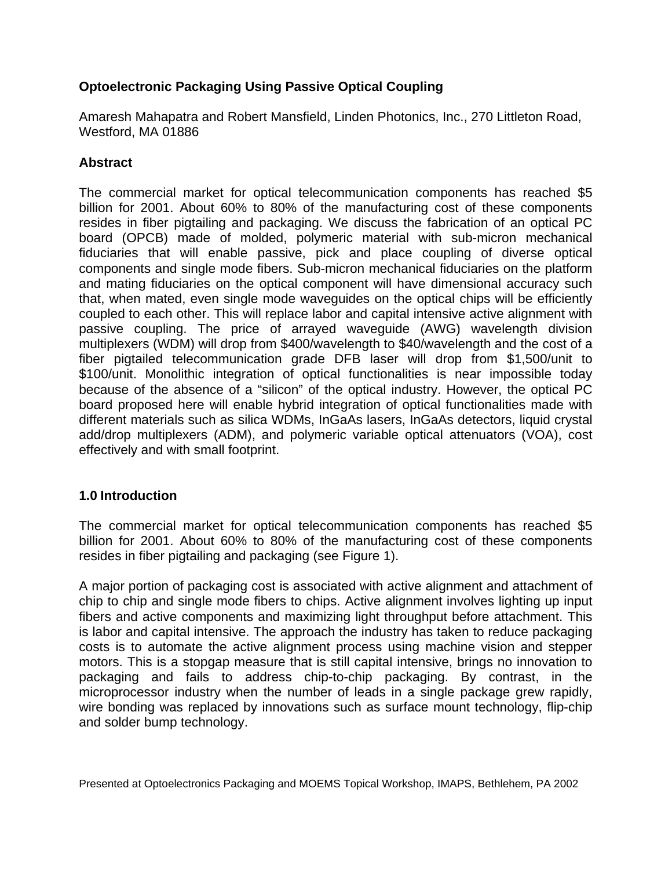## **Optoelectronic Packaging Using Passive Optical Coupling**

Amaresh Mahapatra and Robert Mansfield, Linden Photonics, Inc., 270 Littleton Road, Westford, MA 01886

# **Abstract**

The commercial market for optical telecommunication components has reached \$5 billion for 2001. About 60% to 80% of the manufacturing cost of these components resides in fiber pigtailing and packaging. We discuss the fabrication of an optical PC board (OPCB) made of molded, polymeric material with sub-micron mechanical fiduciaries that will enable passive, pick and place coupling of diverse optical components and single mode fibers. Sub-micron mechanical fiduciaries on the platform and mating fiduciaries on the optical component will have dimensional accuracy such that, when mated, even single mode waveguides on the optical chips will be efficiently coupled to each other. This will replace labor and capital intensive active alignment with passive coupling. The price of arrayed waveguide (AWG) wavelength division multiplexers (WDM) will drop from \$400/wavelength to \$40/wavelength and the cost of a fiber pigtailed telecommunication grade DFB laser will drop from \$1,500/unit to \$100/unit. Monolithic integration of optical functionalities is near impossible today because of the absence of a "silicon" of the optical industry. However, the optical PC board proposed here will enable hybrid integration of optical functionalities made with different materials such as silica WDMs, InGaAs lasers, InGaAs detectors, liquid crystal add/drop multiplexers (ADM), and polymeric variable optical attenuators (VOA), cost effectively and with small footprint.

## **1.0 Introduction**

The commercial market for optical telecommunication components has reached \$5 billion for 2001. About 60% to 80% of the manufacturing cost of these components resides in fiber pigtailing and packaging (see Figure 1).

A major portion of packaging cost is associated with active alignment and attachment of chip to chip and single mode fibers to chips. Active alignment involves lighting up input fibers and active components and maximizing light throughput before attachment. This is labor and capital intensive. The approach the industry has taken to reduce packaging costs is to automate the active alignment process using machine vision and stepper motors. This is a stopgap measure that is still capital intensive, brings no innovation to packaging and fails to address chip-to-chip packaging. By contrast, in the microprocessor industry when the number of leads in a single package grew rapidly, wire bonding was replaced by innovations such as surface mount technology, flip-chip and solder bump technology.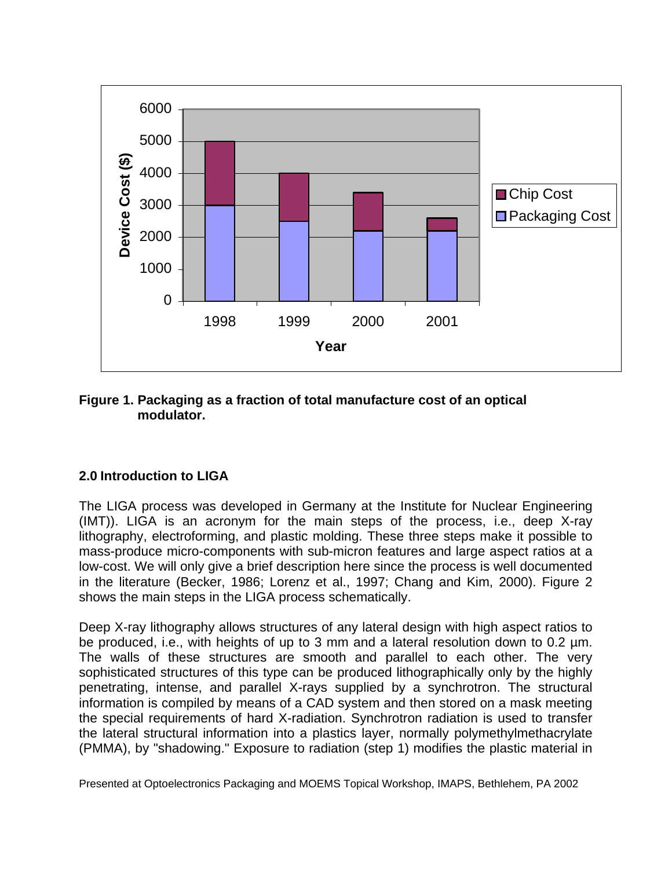

#### **Figure 1. Packaging as a fraction of total manufacture cost of an optical modulator.**

## **2.0 Introduction to LIGA**

The LIGA process was developed in Germany at the Institute for Nuclear Engineering (IMT)). LIGA is an acronym for the main steps of the process, i.e., deep X-ray lithography, electroforming, and plastic molding. These three steps make it possible to mass-produce micro-components with sub-micron features and large aspect ratios at a low-cost. We will only give a brief description here since the process is well documented in the literature (Becker, 1986; Lorenz et al., 1997; Chang and Kim, 2000). Figure 2 shows the main steps in the LIGA process schematically.

Deep X-ray lithography allows structures of any lateral design with high aspect ratios to be produced, i.e., with heights of up to 3 mm and a lateral resolution down to 0.2 µm. The walls of these structures are smooth and parallel to each other. The very sophisticated structures of this type can be produced lithographically only by the highly penetrating, intense, and parallel X-rays supplied by a synchrotron. The structural information is compiled by means of a CAD system and then stored on a mask meeting the special requirements of hard X-radiation. Synchrotron radiation is used to transfer the lateral structural information into a plastics layer, normally polymethylmethacrylate (PMMA), by "shadowing." Exposure to radiation (step 1) modifies the plastic material in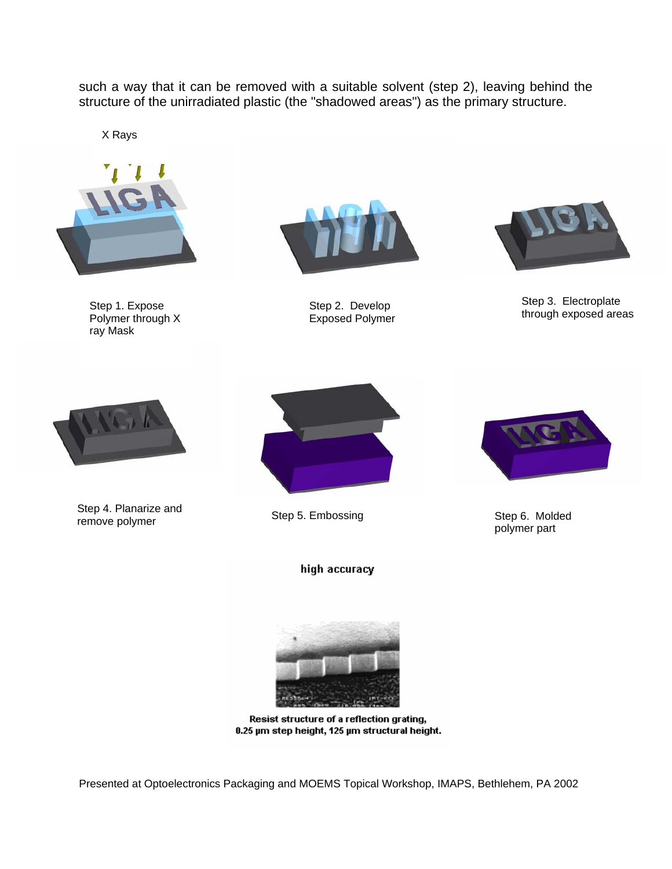such a way that it can be removed with a suitable solvent (step 2), leaving behind the structure of the unirradiated plastic (the "shadowed areas") as the primary structure.

X Rays



Step 1. Expose Polymer through X ray Mask



Step 2. Develop Exposed Polymer



Step 3. Electroplate through exposed areas



Step 4. Planarize and Step 4. Flatilatize and Step 5. Embossing Step 4. Flatilatize and Step 6. Molded remove polymer



high accuracy



polymer part



Resist structure of a reflection grating, 0.25 µm step height, 125 µm structural height.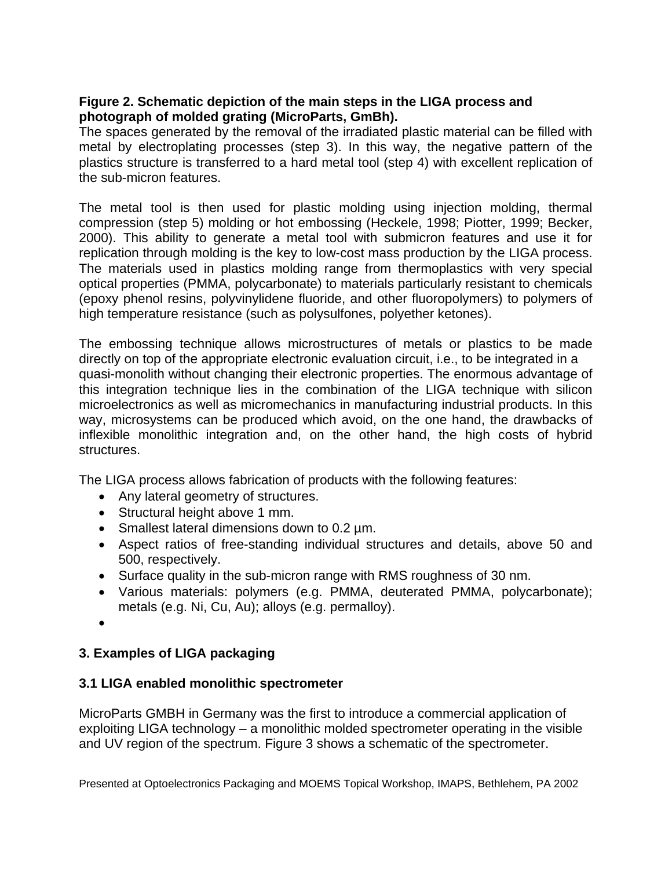#### **Figure 2. Schematic depiction of the main steps in the LIGA process and photograph of molded grating (MicroParts, GmBh).**

The spaces generated by the removal of the irradiated plastic material can be filled with metal by electroplating processes (step 3). In this way, the negative pattern of the plastics structure is transferred to a hard metal tool (step 4) with excellent replication of the sub-micron features.

The metal tool is then used for plastic molding using injection molding, thermal compression (step 5) molding or hot embossing (Heckele, 1998; Piotter, 1999; Becker, 2000). This ability to generate a metal tool with submicron features and use it for replication through molding is the key to low-cost mass production by the LIGA process. The materials used in plastics molding range from thermoplastics with very special optical properties (PMMA, polycarbonate) to materials particularly resistant to chemicals (epoxy phenol resins, polyvinylidene fluoride, and other fluoropolymers) to polymers of high temperature resistance (such as polysulfones, polyether ketones).

The embossing technique allows microstructures of metals or plastics to be made directly on top of the appropriate electronic evaluation circuit, i.e., to be integrated in a quasi-monolith without changing their electronic properties. The enormous advantage of this integration technique lies in the combination of the LIGA technique with silicon microelectronics as well as micromechanics in manufacturing industrial products. In this way, microsystems can be produced which avoid, on the one hand, the drawbacks of inflexible monolithic integration and, on the other hand, the high costs of hybrid structures.

The LIGA process allows fabrication of products with the following features:

- Any lateral geometry of structures.
- Structural height above 1 mm.
- Smallest lateral dimensions down to 0.2 µm.
- Aspect ratios of free-standing individual structures and details, above 50 and 500, respectively.
- Surface quality in the sub-micron range with RMS roughness of 30 nm.
- Various materials: polymers (e.g. PMMA, deuterated PMMA, polycarbonate); metals (e.g. Ni, Cu, Au); alloys (e.g. permalloy).
- •

## **3. Examples of LIGA packaging**

#### **3.1 LIGA enabled monolithic spectrometer**

MicroParts GMBH in Germany was the first to introduce a commercial application of exploiting LIGA technology – a monolithic molded spectrometer operating in the visible and UV region of the spectrum. Figure 3 shows a schematic of the spectrometer.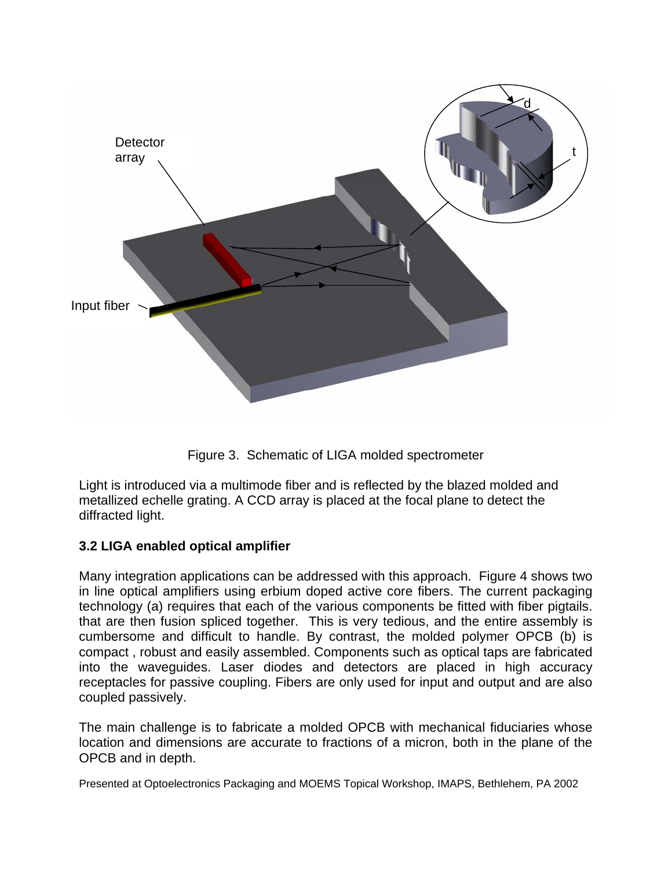

Figure 3. Schematic of LIGA molded spectrometer

Light is introduced via a multimode fiber and is reflected by the blazed molded and metallized echelle grating. A CCD array is placed at the focal plane to detect the diffracted light.

## **3.2 LIGA enabled optical amplifier**

Many integration applications can be addressed with this approach. Figure 4 shows two in line optical amplifiers using erbium doped active core fibers. The current packaging technology (a) requires that each of the various components be fitted with fiber pigtails. that are then fusion spliced together. This is very tedious, and the entire assembly is cumbersome and difficult to handle. By contrast, the molded polymer OPCB (b) is compact , robust and easily assembled. Components such as optical taps are fabricated into the waveguides. Laser diodes and detectors are placed in high accuracy receptacles for passive coupling. Fibers are only used for input and output and are also coupled passively.

The main challenge is to fabricate a molded OPCB with mechanical fiduciaries whose location and dimensions are accurate to fractions of a micron, both in the plane of the OPCB and in depth.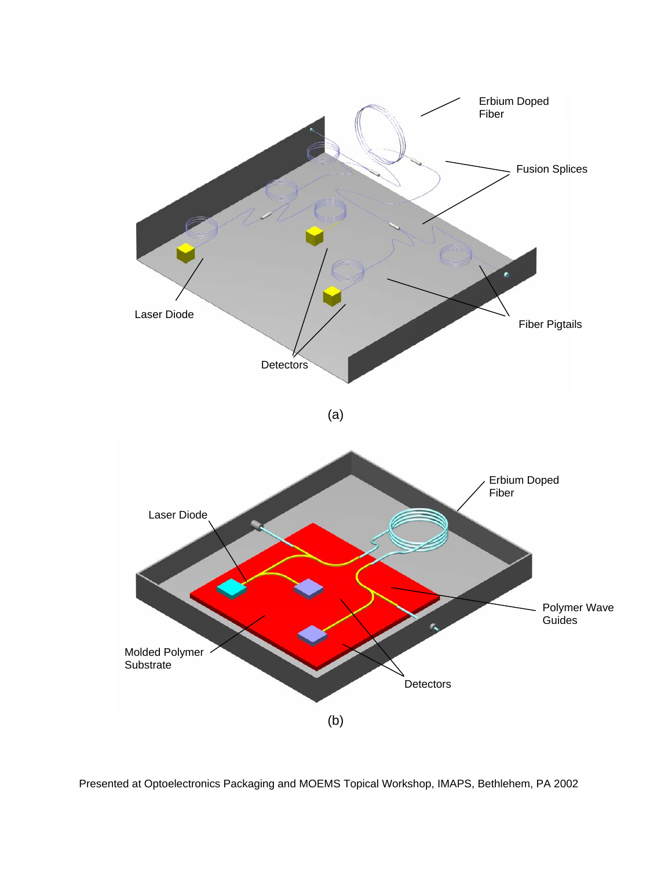